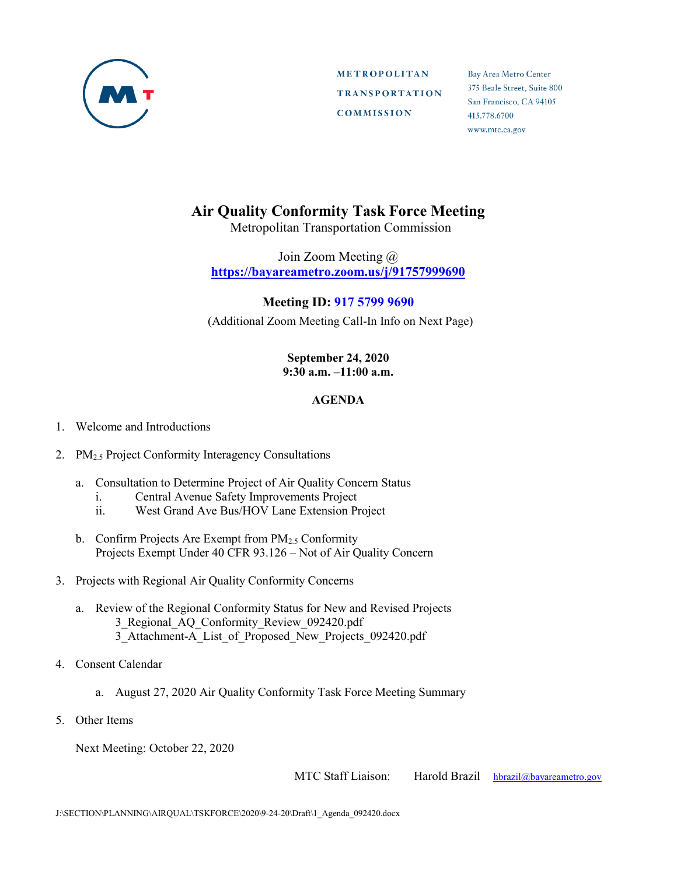

**METROPOLITAN TRANSPORTATION COMMISSION** 

Bay Area Metro Center 375 Beale Street, Suite 800 San Francisco, CA 94105 415.778.6700 www.mtc.ca.gov

## **Air Quality Conformity Task Force Meeting**

Metropolitan Transportation Commission

Join Zoom Meeting @ **<https://bayareametro.zoom.us/j/91757999690>**

## **Meeting ID: 917 5799 9690**

(Additional Zoom Meeting Call-In Info on Next Page)

## **September 24, 2020 9:30 a.m. –11:00 a.m.**

## **AGENDA**

- 1. Welcome and Introductions
- 2. PM<sub>2.5</sub> Project Conformity Interagency Consultations
	- a. Consultation to Determine Project of Air Quality Concern Status
		- i. Central Avenue Safety Improvements Project
		- ii. West Grand Ave Bus/HOV Lane Extension Project
	- b. Confirm Projects Are Exempt from  $PM_{2.5}$  Conformity Projects Exempt Under 40 CFR 93.126 – Not of Air Quality Concern
- 3. Projects with Regional Air Quality Conformity Concerns
	- a. Review of the Regional Conformity Status for New and Revised Projects 3\_Regional\_AQ\_Conformity\_Review\_092420.pdf 3\_Attachment-A\_List\_of\_Proposed\_New\_Projects\_092420.pdf
- 4. Consent Calendar
	- a. August 27, 2020 Air Quality Conformity Task Force Meeting Summary
- 5. Other Items

Next Meeting: October 22, 2020

MTC Staff Liaison: Harold Brazil [hbrazil@bayareametro.gov](mailto:hbrazil@bayareametro.gov)